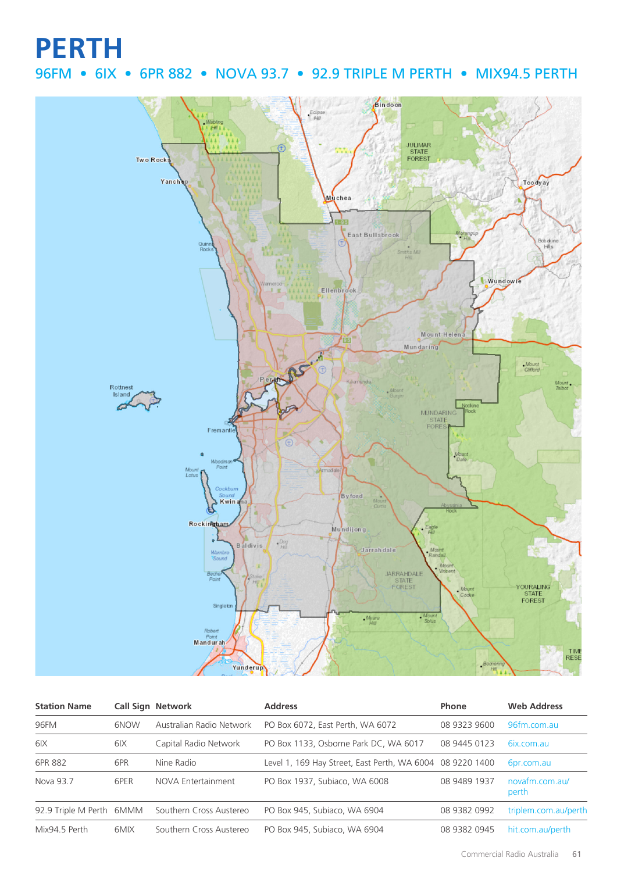## **PERTH**

### 96FM • 6IX • 6PR 882 • NOVA 93.7 • 92.9 TRIPLE M PERTH • MIX94.5 PERTH



| <b>Station Name</b>      |      | <b>Call Sign Network</b> | <b>Address</b>                                            | Phone        | <b>Web Address</b>      |
|--------------------------|------|--------------------------|-----------------------------------------------------------|--------------|-------------------------|
| 96FM                     | 6NOW | Australian Radio Network | PO Box 6072, East Perth, WA 6072                          | 08 9323 9600 | 96fm.com.au             |
| 6 <sub>IX</sub>          | 6IX  | Capital Radio Network    | PO Box 1133, Osborne Park DC, WA 6017                     | 08 9445 0123 | 6ix.com.au              |
| 6PR 882                  | 6PR  | Nine Radio               | Level 1, 169 Hay Street, East Perth, WA 6004 08 9220 1400 |              | 6pr.com.au              |
| Nova 93.7                | 6PER | NOVA Entertainment       | PO Box 1937, Subiaco, WA 6008                             | 08 9489 1937 | novafm.com.au/<br>perth |
| 92.9 Triple M Perth 6MMM |      | Southern Cross Austereo  | PO Box 945, Subiaco, WA 6904                              | 08 9382 0992 | triplem.com.au/perth    |
| Mix94.5 Perth            | 6MIX | Southern Cross Austereo  | PO Box 945, Subiaco, WA 6904                              | 08 9382 0945 | hit.com.au/perth        |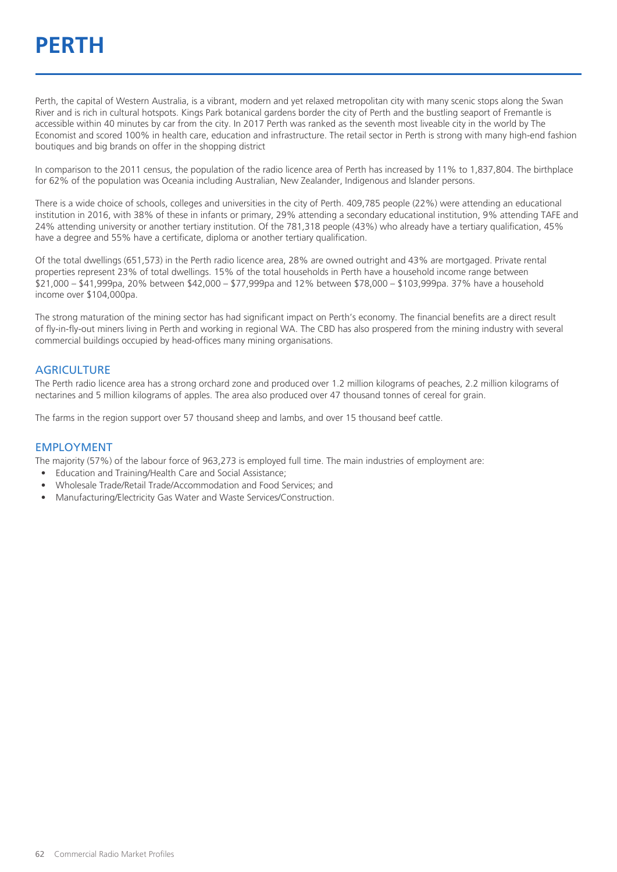## **PERTH**

Perth, the capital of Western Australia, is a vibrant, modern and yet relaxed metropolitan city with many scenic stops along the Swan River and is rich in cultural hotspots. Kings Park botanical gardens border the city of Perth and the bustling seaport of Fremantle is accessible within 40 minutes by car from the city. In 2017 Perth was ranked as the seventh most liveable city in the world by The Economist and scored 100% in health care, education and infrastructure. The retail sector in Perth is strong with many high-end fashion boutiques and big brands on offer in the shopping district

In comparison to the 2011 census, the population of the radio licence area of Perth has increased by 11% to 1,837,804. The birthplace for 62% of the population was Oceania including Australian, New Zealander, Indigenous and Islander persons.

There is a wide choice of schools, colleges and universities in the city of Perth. 409,785 people (22%) were attending an educational institution in 2016, with 38% of these in infants or primary, 29% attending a secondary educational institution, 9% attending TAFE and 24% attending university or another tertiary institution. Of the 781,318 people (43%) who already have a tertiary qualification, 45% have a degree and 55% have a certificate, diploma or another tertiary qualification.

Of the total dwellings (651,573) in the Perth radio licence area, 28% are owned outright and 43% are mortgaged. Private rental properties represent 23% of total dwellings. 15% of the total households in Perth have a household income range between \$21,000 – \$41,999pa, 20% between \$42,000 – \$77,999pa and 12% between \$78,000 – \$103,999pa. 37% have a household income over \$104,000pa.

The strong maturation of the mining sector has had significant impact on Perth's economy. The financial benefits are a direct result of fly-in-fly-out miners living in Perth and working in regional WA. The CBD has also prospered from the mining industry with several commercial buildings occupied by head-offices many mining organisations.

#### **AGRICULTURE**

The Perth radio licence area has a strong orchard zone and produced over 1.2 million kilograms of peaches, 2.2 million kilograms of nectarines and 5 million kilograms of apples. The area also produced over 47 thousand tonnes of cereal for grain.

The farms in the region support over 57 thousand sheep and lambs, and over 15 thousand beef cattle.

#### EMPLOYMENT

The majority (57%) of the labour force of 963,273 is employed full time. The main industries of employment are:

- Education and Training/Health Care and Social Assistance;
- Wholesale Trade/Retail Trade/Accommodation and Food Services; and
- Manufacturing/Electricity Gas Water and Waste Services/Construction.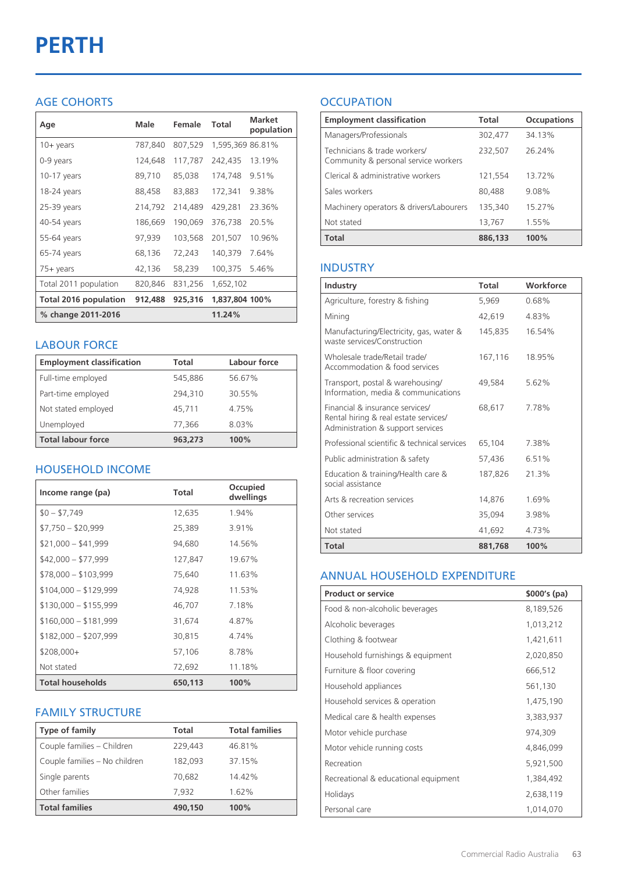# **PERTH**

#### AGE COHORTS

| Age                   | Male    | Female  | Total            | <b>Market</b><br>population |
|-----------------------|---------|---------|------------------|-----------------------------|
| $10 + \gamma$ ears    | 787,840 | 807,529 | 1,595,369 86.81% |                             |
| 0-9 years             | 124,648 | 117,787 | 242,435          | 13.19%                      |
| $10-17$ years         | 89,710  | 85,038  | 174,748          | 9.51%                       |
| 18-24 years           | 88,458  | 83,883  | 172,341          | 9.38%                       |
| 25-39 years           | 214,792 | 214,489 | 429,281          | 23.36%                      |
| 40-54 years           | 186,669 | 190,069 | 376,738          | 20.5%                       |
| 55-64 years           | 97,939  | 103,568 | 201,507          | 10.96%                      |
| 65-74 years           | 68,136  | 72,243  | 140,379          | 7.64%                       |
| 75+ years             | 42,136  | 58,239  | 100,375          | 5.46%                       |
| Total 2011 population | 820,846 | 831,256 | 1,652,102        |                             |
| Total 2016 population | 912,488 | 925,316 | 1,837,804 100%   |                             |
| % change 2011-2016    |         |         | 11.24%           |                             |

#### LABOUR FORCE

| <b>Employment classification</b> | Total   | Labour force |
|----------------------------------|---------|--------------|
| Full-time employed               | 545,886 | 56.67%       |
| Part-time employed               | 294,310 | 30.55%       |
| Not stated employed              | 45.711  | 4.75%        |
| Unemployed                       | 77,366  | 8.03%        |
| <b>Total labour force</b>        | 963,273 | 100%         |

#### HOUSEHOLD INCOME

| Income range (pa)       | Total   | Occupied<br>dwellings |
|-------------------------|---------|-----------------------|
| $$0 - $7,749$           | 12,635  | 1.94%                 |
| $$7,750 - $20,999$      | 25,389  | 3.91%                 |
| $$21,000 - $41,999$     | 94,680  | 14.56%                |
| $$42,000 - $77,999$     | 127,847 | 19.67%                |
| $$78,000 - $103,999$    | 75,640  | 11.63%                |
| $$104,000 - $129,999$   | 74,928  | 11.53%                |
| $$130,000 - $155,999$   | 46,707  | 7.18%                 |
| $$160,000 - $181,999$   | 31,674  | 4.87%                 |
| $$182,000 - $207,999$   | 30,815  | 4.74%                 |
| $$208,000+$             | 57,106  | 8.78%                 |
| Not stated              | 72,692  | 11.18%                |
| <b>Total households</b> | 650,113 | 100%                  |

#### FAMILY STRUCTURE

| <b>Type of family</b>         | <b>Total</b> | <b>Total families</b> |
|-------------------------------|--------------|-----------------------|
| Couple families - Children    | 229.443      | 46.81%                |
| Couple families - No children | 182.093      | 37.15%                |
| Single parents                | 70.682       | 14.42%                |
| Other families                | 7,932        | 1.62%                 |
| <b>Total families</b>         | 490,150      | 100%                  |

### **OCCUPATION**

| <b>Employment classification</b>                                     | <b>Total</b> | <b>Occupations</b> |
|----------------------------------------------------------------------|--------------|--------------------|
| Managers/Professionals                                               | 302,477      | 34.13%             |
| Technicians & trade workers/<br>Community & personal service workers | 232,507      | 26.24%             |
| Clerical & administrative workers                                    | 121,554      | 13.72%             |
| Sales workers                                                        | 80,488       | 9.08%              |
| Machinery operators & drivers/Labourers                              | 135,340      | 15.27%             |
| Not stated                                                           | 13,767       | 1.55%              |
| <b>Total</b>                                                         | 886,133      | 100%               |

#### INDUSTRY

| Industry                                                                                                      | Total   | Workforce |
|---------------------------------------------------------------------------------------------------------------|---------|-----------|
| Agriculture, forestry & fishing                                                                               | 5.969   | 0.68%     |
| Mining                                                                                                        | 42,619  | 4.83%     |
| Manufacturing/Electricity, gas, water &<br>waste services/Construction                                        | 145,835 | 16.54%    |
| Wholesale trade/Retail trade/<br>Accommodation & food services                                                | 167,116 | 18.95%    |
| Transport, postal & warehousing/<br>Information, media & communications                                       | 49,584  | 5.62%     |
| Financial & insurance services/<br>Rental hiring & real estate services/<br>Administration & support services | 68.617  | 7.78%     |
| Professional scientific & technical services                                                                  | 65,104  | 7.38%     |
| Public administration & safety                                                                                | 57.436  | 6.51%     |
| Education & training/Health care &<br>social assistance                                                       | 187,826 | 21.3%     |
| Arts & recreation services                                                                                    | 14,876  | 1.69%     |
| Other services                                                                                                | 35,094  | 3.98%     |
| Not stated                                                                                                    | 41,692  | 4.73%     |
| Total                                                                                                         | 881,768 | 100%      |

#### ANNUAL HOUSEHOLD EXPENDITURE

| <b>Product or service</b>            | $$000's$ (pa) |
|--------------------------------------|---------------|
| Food & non-alcoholic beverages       | 8,189,526     |
| Alcoholic beverages                  | 1,013,212     |
| Clothing & footwear                  | 1,421,611     |
| Household furnishings & equipment    | 2,020,850     |
| Furniture & floor covering           | 666,512       |
| Household appliances                 | 561,130       |
| Household services & operation       | 1,475,190     |
| Medical care & health expenses       | 3,383,937     |
| Motor vehicle purchase               | 974,309       |
| Motor vehicle running costs          | 4,846,099     |
| Recreation                           | 5,921,500     |
| Recreational & educational equipment | 1,384,492     |
| Holidays                             | 2,638,119     |
| Personal care                        | 1,014,070     |